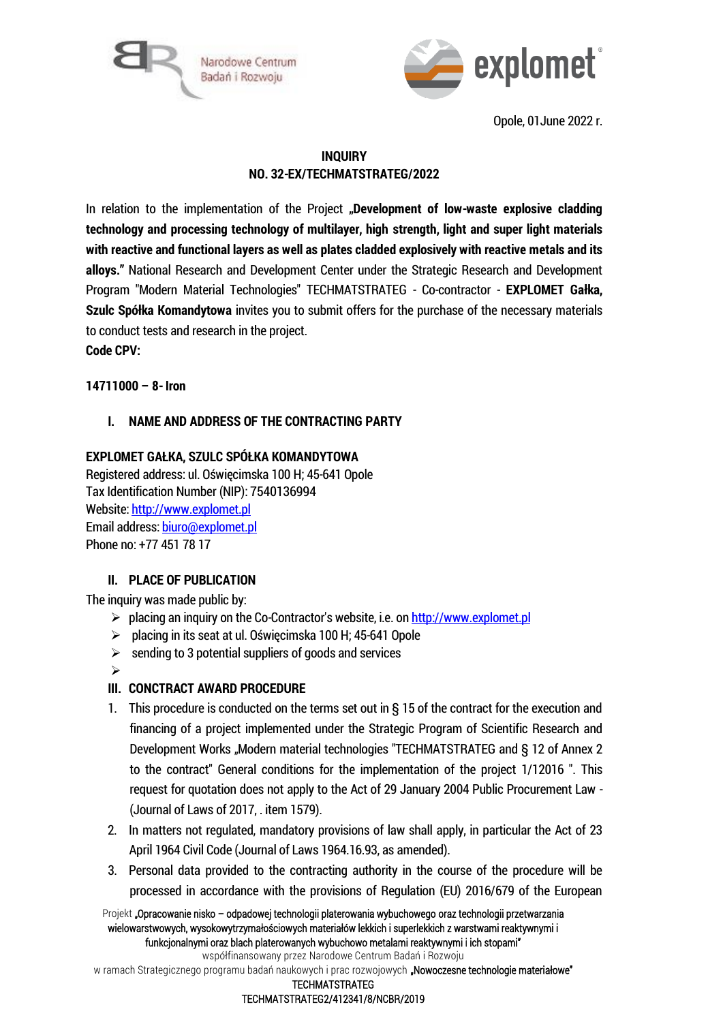



Opole, 01June 2022 r.

# INQUIRY NO. 32-EX/TECHMATSTRATEG/2022

In relation to the implementation of the Project "Development of low-waste explosive cladding technology and processing technology of multilayer, high strength, light and super light materials with reactive and functional layers as well as plates cladded explosively with reactive metals and its alloys." National Research and Development Center under the Strategic Research and Development Program "Modern Material Technologies" TECHMATSTRATEG - Co-contractor - EXPLOMET Gałka, Szulc Spółka Komandytowa invites you to submit offers for the purchase of the necessary materials to conduct tests and research in the project. Code CPV:

 $14711000 - 8 -$  Iron

## I. NAME AND ADDRESS OF THE CONTRACTING PARTY

## EXPLOMET GAŁKA, SZULC SPÓŁKA KOMANDYTOWA

Registered address: ul. Oświęcimska 100 H; 45-641 Opole Tax Identification Number (NIP): 7540136994 Website[: http://www.explomet.pl](http://www.explomet.pl/) Email address[: biuro@explomet.pl](mailto:biuro@explomet.pl) Phone no: +77 451 78 17

### II. PLACE OF PUBLICATION

The inquiry was made public by:

- ➢ placing an inquiry on the Co-Contractor's website, i.e. on [http://www.explomet.pl](http://www.explomet.pl/)
- ➢ placing in its seat at ul. Oświęcimska 100 H; 45-641 Opole
- $\triangleright$  sending to 3 potential suppliers of goods and services
- ➢

# III. CONCTRACT AWARD PROCEDURE

- 1. This procedure is conducted on the terms set out in § 15 of the contract for the execution and financing of a project implemented under the Strategic Program of Scientific Research and Development Works "Modern material technologies "TECHMATSTRATEG and § 12 of Annex 2 to the contract" General conditions for the implementation of the project 1/12016 ". This request for quotation does not apply to the Act of 29 January 2004 Public Procurement Law - (Journal of Laws of 2017, . item 1579).
- 2. In matters not regulated, mandatory provisions of law shall apply, in particular the Act of 23 April 1964 Civil Code (Journal of Laws 1964.16.93, as amended).
- 3. Personal data provided to the contracting authority in the course of the procedure will be processed in accordance with the provisions of Regulation (EU) 2016/679 of the European

Projekt "Opracowanie nisko – odpadowej technologii platerowania wybuchowego oraz technologii przetwarzania wielowarstwowych, wysokowytrzymałościowych materiałów lekkich i superlekkich z warstwami reaktywnymi i funkcjonalnymi oraz blach platerowanych wybuchowo metalami reaktywnymi i ich stopami" współfinansowany przez Narodowe Centrum Badań i Rozwoju

w ramach Strategicznego programu badań naukowych i prac rozwojowych "Nowoczesne technologie materiałowe"

### TECHMATSTRATEG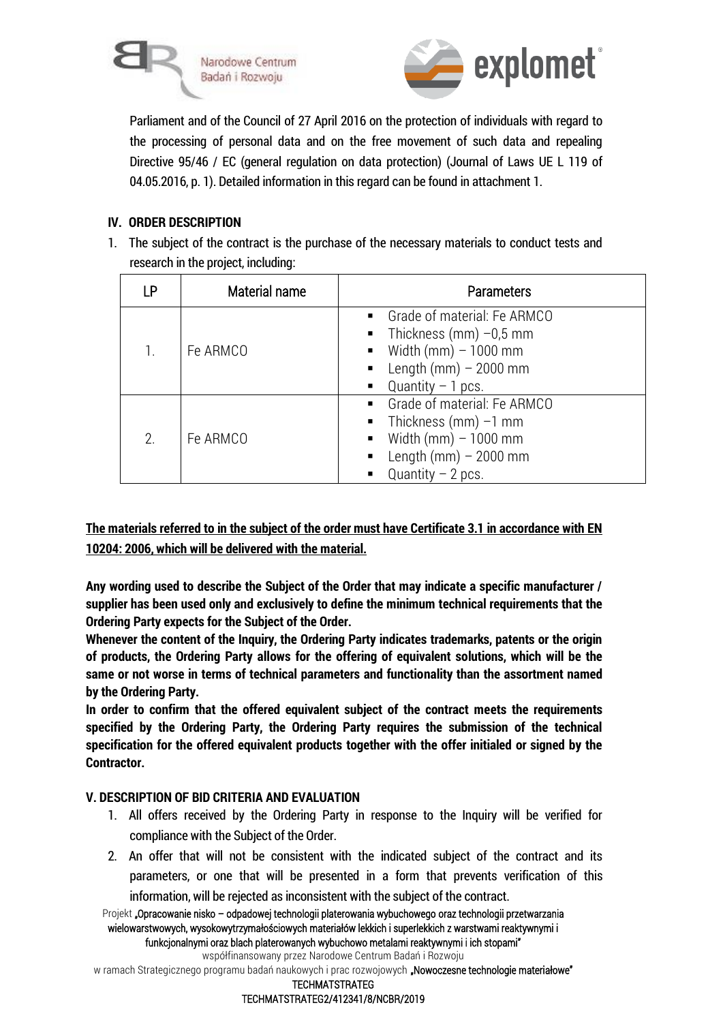



Parliament and of the Council of 27 April 2016 on the protection of individuals with regard to the processing of personal data and on the free movement of such data and repealing Directive 95/46 / EC (general regulation on data protection) (Journal of Laws UE L 119 of 04.05.2016, p. 1). Detailed information in this regard can be found in attachment 1.

### IV. ORDER DESCRIPTION

1. The subject of the contract is the purchase of the necessary materials to conduct tests and research in the project, including:

| LP | Material name | Parameters                                                                                                                                                                           |
|----|---------------|--------------------------------------------------------------------------------------------------------------------------------------------------------------------------------------|
| 1. | Fe ARMCO      | • Grade of material: Fe ARMCO<br>$\blacksquare$ Thickness (mm) -0,5 mm<br>$Width(mm) - 1000 mm$<br>Length $(mm) - 2000$ mm<br>$\blacksquare$<br>Quantity $-1$ pcs.<br>$\blacksquare$ |
| 2. | Fe ARMCO      | • Grade of material: Fe ARMCO<br>$\blacksquare$ Thickness (mm) $-1$ mm<br>$Width(mm) - 1000 mm$<br>Length $(mm)$ - 2000 mm<br>$\blacksquare$<br>Quantity $-2$ pcs.                   |

# The materials referred to in the subject of the order must have Certificate 3.1 in accordance with EN 10204: 2006, which will be delivered with the material.

Any wording used to describe the Subject of the Order that may indicate a specific manufacturer / supplier has been used only and exclusively to define the minimum technical requirements that the Ordering Party expects for the Subject of the Order.

Whenever the content of the Inquiry, the Ordering Party indicates trademarks, patents or the origin of products, the Ordering Party allows for the offering of equivalent solutions, which will be the same or not worse in terms of technical parameters and functionality than the assortment named by the Ordering Party.

In order to confirm that the offered equivalent subject of the contract meets the requirements specified by the Ordering Party, the Ordering Party requires the submission of the technical specification for the offered equivalent products together with the offer initialed or signed by the Contractor.

## V. DESCRIPTION OF BID CRITERIA AND EVALUATION

- 1. All offers received by the Ordering Party in response to the Inquiry will be verified for compliance with the Subject of the Order.
- 2. An offer that will not be consistent with the indicated subject of the contract and its parameters, or one that will be presented in a form that prevents verification of this information, will be rejected as inconsistent with the subject of the contract.

Projekt "Opracowanie nisko – odpadowej technologii platerowania wybuchowego oraz technologii przetwarzania wielowarstwowych, wysokowytrzymałościowych materiałów lekkich i superlekkich z warstwami reaktywnymi i funkcjonalnymi oraz blach platerowanych wybuchowo metalami reaktywnymi i ich stopami" współfinansowany przez Narodowe Centrum Badań i Rozwoju

w ramach Strategicznego programu badań naukowych i prac rozwojowych "Nowoczesne technologie materiałowe"

#### TECHMATSTRATEG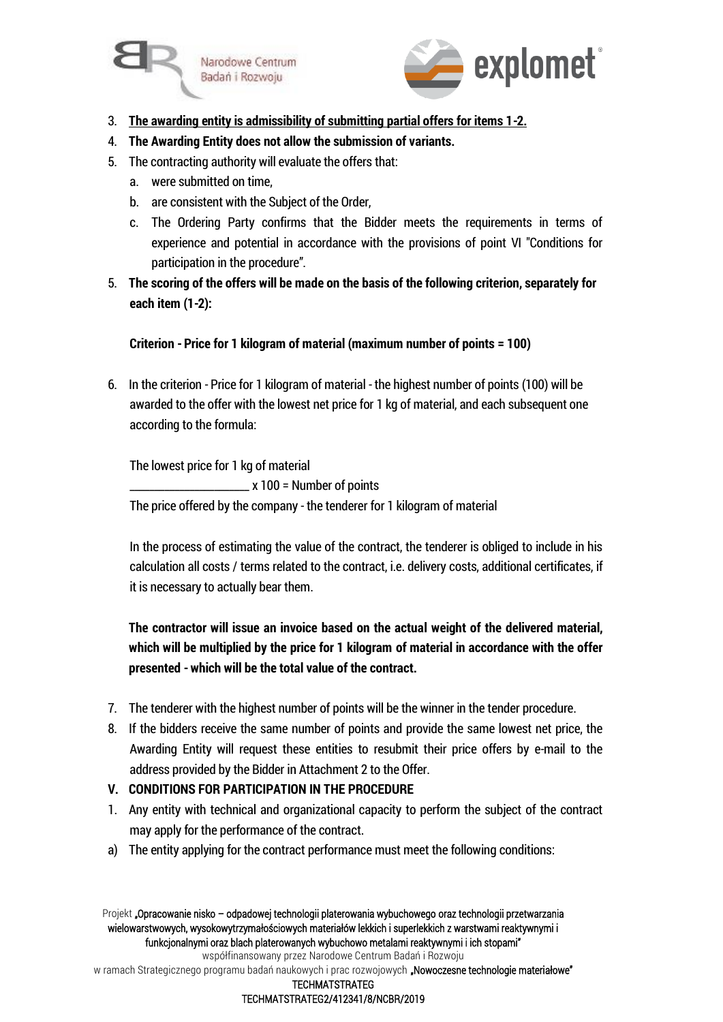



- 3. The awarding entity is admissibility of submitting partial offers for items 1-2.
- 4. The Awarding Entity does not allow the submission of variants.
- 5. The contracting authority will evaluate the offers that:
	- a. were submitted on time,
	- b. are consistent with the Subject of the Order,
	- c. The Ordering Party confirms that the Bidder meets the requirements in terms of experience and potential in accordance with the provisions of point VI "Conditions for participation in the procedure".
- 5. The scoring of the offers will be made on the basis of the following criterion, separately for each item (1-2):

## Criterion -Price for 1 kilogram of material (maximum number of points = 100)

6. In the criterion - Price for 1 kilogram of material - the highest number of points (100) will be awarded to the offer with the lowest net price for 1 kg of material, and each subsequent one according to the formula:

The lowest price for 1 kg of material

 $\angle$  x 100 = Number of points

The price offered by the company - the tenderer for 1 kilogram of material

In the process of estimating the value of the contract, the tenderer is obliged to include in his calculation all costs / terms related to the contract, i.e. delivery costs, additional certificates, if it is necessary to actually bear them.

The contractor will issue an invoice based on the actual weight of the delivered material, which will be multiplied by the price for 1 kilogram of material in accordance with the offer presented -which will be the total value of the contract.

- 7. The tenderer with the highest number of points will be the winner in the tender procedure.
- 8. If the bidders receive the same number of points and provide the same lowest net price, the Awarding Entity will request these entities to resubmit their price offers by e-mail to the address provided by the Bidder in Attachment 2 to the Offer.
- V. CONDITIONS FOR PARTICIPATION IN THE PROCEDURE
- 1. Any entity with technical and organizational capacity to perform the subject of the contract may apply for the performance of the contract.
- a) The entity applying for the contract performance must meet the following conditions:

Projekt "Opracowanie nisko – odpadowej technologii platerowania wybuchowego oraz technologii przetwarzania wielowarstwowych, wysokowytrzymałościowych materiałów lekkich i superlekkich z warstwami reaktywnymi i funkcjonalnymi oraz blach platerowanych wybuchowo metalami reaktywnymi i ich stopami" współfinansowany przez Narodowe Centrum Badań i Rozwoju

w ramach Strategicznego programu badań naukowych i prac rozwojowych "Nowoczesne technologie materiałowe"

#### TECHMATSTRATEG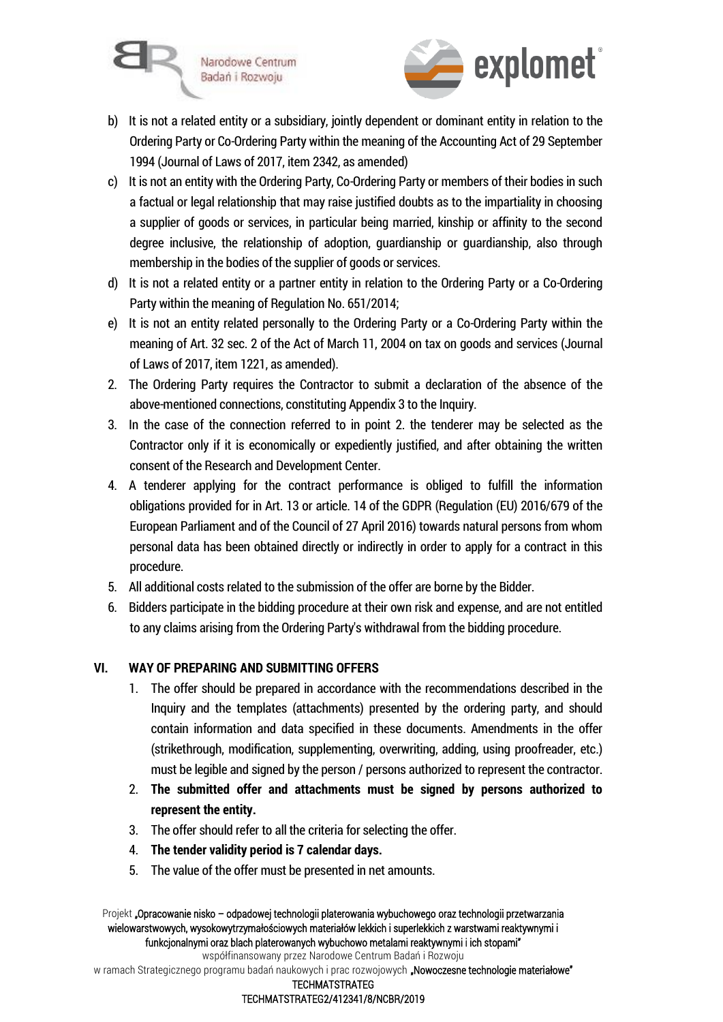



- b) It is not a related entity or a subsidiary, jointly dependent or dominant entity in relation to the Ordering Party or Co-Ordering Party within the meaning of the Accounting Act of 29 September 1994 (Journal of Laws of 2017, item 2342, as amended)
- c) It is not an entity with the Ordering Party, Co-Ordering Party or members of their bodies in such a factual or legal relationship that may raise justified doubts as to the impartiality in choosing a supplier of goods or services, in particular being married, kinship or affinity to the second degree inclusive, the relationship of adoption, guardianship or guardianship, also through membership in the bodies of the supplier of goods or services.
- d) It is not a related entity or a partner entity in relation to the Ordering Party or a Co-Ordering Party within the meaning of Regulation No. 651/2014;
- e) It is not an entity related personally to the Ordering Party or a Co-Ordering Party within the meaning of Art. 32 sec. 2 of the Act of March 11, 2004 on tax on goods and services (Journal of Laws of 2017, item 1221, as amended).
- 2. The Ordering Party requires the Contractor to submit a declaration of the absence of the above-mentioned connections, constituting Appendix 3 to the Inquiry.
- 3. In the case of the connection referred to in point 2. the tenderer may be selected as the Contractor only if it is economically or expediently justified, and after obtaining the written consent of the Research and Development Center.
- 4. A tenderer applying for the contract performance is obliged to fulfill the information obligations provided for in Art. 13 or article. 14 of the GDPR (Regulation (EU) 2016/679 of the European Parliament and of the Council of 27 April 2016) towards natural persons from whom personal data has been obtained directly or indirectly in order to apply for a contract in this procedure.
- 5. All additional costs related to the submission of the offer are borne by the Bidder.
- 6. Bidders participate in the bidding procedure at their own risk and expense, and are not entitled to any claims arising from the Ordering Party's withdrawal from the bidding procedure.

## VI. WAY OF PREPARING AND SUBMITTING OFFERS

- 1. The offer should be prepared in accordance with the recommendations described in the Inquiry and the templates (attachments) presented by the ordering party, and should contain information and data specified in these documents. Amendments in the offer (strikethrough, modification, supplementing, overwriting, adding, using proofreader, etc.) must be legible and signed by the person / persons authorized to represent the contractor.
- 2. The submitted offer and attachments must be signed by persons authorized to represent the entity.
- 3. The offer should refer to all the criteria for selecting the offer.
- 4. The tender validity period is 7 calendar days.
- 5. The value of the offer must be presented in net amounts.

w ramach Strategicznego programu badań naukowych i prac rozwojowych "Nowoczesne technologie materiałowe"

### TECHMATSTRATEG

Projekt "Opracowanie nisko – odpadowej technologii platerowania wybuchowego oraz technologii przetwarzania wielowarstwowych, wysokowytrzymałościowych materiałów lekkich i superlekkich z warstwami reaktywnymi i funkcjonalnymi oraz blach platerowanych wybuchowo metalami reaktywnymi i ich stopami" współfinansowany przez Narodowe Centrum Badań i Rozwoju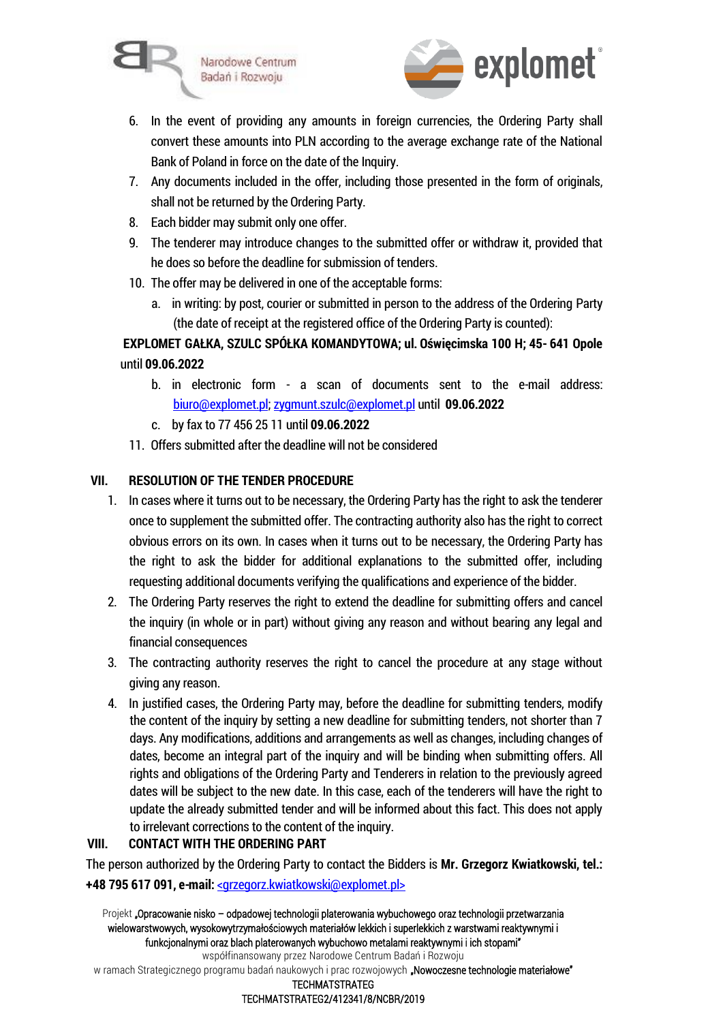



- 6. In the event of providing any amounts in foreign currencies, the Ordering Party shall convert these amounts into PLN according to the average exchange rate of the National Bank of Poland in force on the date of the Inquiry.
- 7. Any documents included in the offer, including those presented in the form of originals, shall not be returned by the Ordering Party.
- 8. Each bidder may submit only one offer.
- 9. The tenderer may introduce changes to the submitted offer or withdraw it, provided that he does so before the deadline for submission of tenders.
- 10. The offer may be delivered in one of the acceptable forms:
	- a. in writing: by post, courier or submitted in person to the address of the Ordering Party (the date of receipt at the registered office of the Ordering Party is counted):

# EXPLOMET GAŁKA, SZULC SPÓŁKA KOMANDYTOWA; ul. Oświęcimska 100 H; 45- 641 Opole until 09.06.2022

- b. in electronic form a scan of documents sent to the e-mail address: [biuro@explomet.pl;](mailto:biuro@explomet.pl) [zygmunt.szulc@explomet.pl](mailto:zygmunt.szulc@explomet.pl) until 09.06.2022
- c. by fax to 77 456 25 11 until 09.06.2022
- 11. Offers submitted after the deadline will not be considered

## VII. RESOLUTION OF THE TENDER PROCEDURE

- 1. In cases where it turns out to be necessary, the Ordering Party has the right to ask the tenderer once to supplement the submitted offer. The contracting authority also has the right to correct obvious errors on its own. In cases when it turns out to be necessary, the Ordering Party has the right to ask the bidder for additional explanations to the submitted offer, including requesting additional documents verifying the qualifications and experience of the bidder.
- 2. The Ordering Party reserves the right to extend the deadline for submitting offers and cancel the inquiry (in whole or in part) without giving any reason and without bearing any legal and financial consequences
- 3. The contracting authority reserves the right to cancel the procedure at any stage without giving any reason.
- 4. In justified cases, the Ordering Party may, before the deadline for submitting tenders, modify the content of the inquiry by setting a new deadline for submitting tenders, not shorter than 7 days. Any modifications, additions and arrangements as well as changes, including changes of dates, become an integral part of the inquiry and will be binding when submitting offers. All rights and obligations of the Ordering Party and Tenderers in relation to the previously agreed dates will be subject to the new date. In this case, each of the tenderers will have the right to update the already submitted tender and will be informed about this fact. This does not apply to irrelevant corrections to the content of the inquiry.

## VIII. CONTACT WITH THE ORDERING PART

The person authorized by the Ordering Party to contact the Bidders is Mr. Grzegorz Kwiatkowski, tel.: +48 795 617 091, e-mail: <grzegorz.kwiatkowski@explomet.pl>

Projekt "Opracowanie nisko – odpadowej technologii platerowania wybuchowego oraz technologii przetwarzania wielowarstwowych, wysokowytrzymałościowych materiałów lekkich i superlekkich z warstwami reaktywnymi i funkcjonalnymi oraz blach platerowanych wybuchowo metalami reaktywnymi i ich stopami" współfinansowany przez Narodowe Centrum Badań i Rozwoju

w ramach Strategicznego programu badań naukowych i prac rozwojowych "Nowoczesne technologie materiałowe"

#### TECHMATSTRATEG